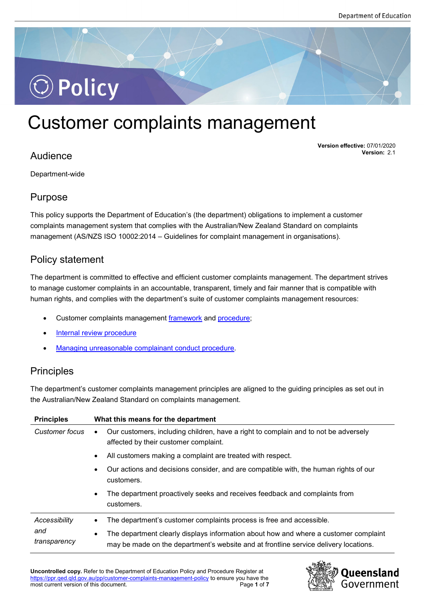

# Customer complaints management

# Audience

**Version effective:** 07/01/2020 **Version:** 2.1

Department-wide

### Purpose

This policy supports the Department of Education's (the department) obligations to implement a customer complaints management system that complies with the Australian/New Zealand Standard on complaints management (AS/NZS ISO 10002:2014 – Guidelines for complaint management in organisations).

# Policy statement

The department is committed to effective and efficient customer complaints management. The department strives to manage customer complaints in an accountable, transparent, timely and fair manner that is compatible with human rights, and complies with the department's suite of customer complaints management resources:

- Customer complaints management [framework](https://ppr.qed.qld.gov.au/attachment/customer-complaints-management-framework.pdf) and [procedure;](https://ppr.qed.qld.gov.au/pp/customer-complaints-management-procedure)
- [Internal review procedure](https://ppr.qed.qld.gov.au/pp/customer-complaints-management-internal-review-procedure)
- [Managing unreasonable complainant conduct procedure.](https://ppr.qed.qld.gov.au/pp/customer-complaints-management-managing-unreasonable-complainant-conduct-procedure)

# **Principles**

The department's customer complaints management principles are aligned to the guiding principles as set out in the Australian/New Zealand Standard on complaints management.

| <b>Principles</b>                    | What this means for the department                                                                                                                                                |  |
|--------------------------------------|-----------------------------------------------------------------------------------------------------------------------------------------------------------------------------------|--|
| Customer focus                       | Our customers, including children, have a right to complain and to not be adversely<br>$\bullet$<br>affected by their customer complaint.                                         |  |
|                                      | All customers making a complaint are treated with respect.<br>$\bullet$                                                                                                           |  |
|                                      | Our actions and decisions consider, and are compatible with, the human rights of our<br>$\bullet$<br>customers.                                                                   |  |
|                                      | The department proactively seeks and receives feedback and complaints from<br>$\bullet$<br>customers.                                                                             |  |
| Accessibility<br>and<br>transparency | The department's customer complaints process is free and accessible.<br>$\bullet$                                                                                                 |  |
|                                      | The department clearly displays information about how and where a customer complaint<br>٠<br>may be made on the department's website and at frontline service delivery locations. |  |

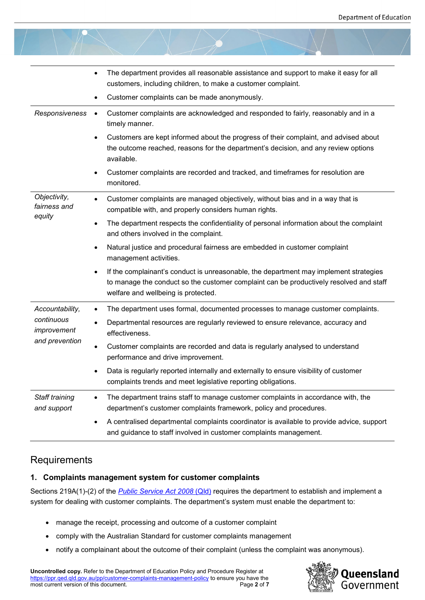|                                             | The department provides all reasonable assistance and support to make it easy for all<br>$\bullet$<br>customers, including children, to make a customer complaint.<br>Customer complaints can be made anonymously.<br>$\bullet$     |
|---------------------------------------------|-------------------------------------------------------------------------------------------------------------------------------------------------------------------------------------------------------------------------------------|
| Responsiveness                              | Customer complaints are acknowledged and responded to fairly, reasonably and in a<br>$\bullet$<br>timely manner.                                                                                                                    |
|                                             | Customers are kept informed about the progress of their complaint, and advised about<br>$\bullet$<br>the outcome reached, reasons for the department's decision, and any review options<br>available.                               |
|                                             | Customer complaints are recorded and tracked, and timeframes for resolution are<br>$\bullet$<br>monitored.                                                                                                                          |
| Objectivity,<br>fairness and                | Customer complaints are managed objectively, without bias and in a way that is<br>$\bullet$<br>compatible with, and properly considers human rights.                                                                                |
| equity                                      | The department respects the confidentiality of personal information about the complaint<br>$\bullet$<br>and others involved in the complaint.                                                                                       |
|                                             | Natural justice and procedural fairness are embedded in customer complaint<br>$\bullet$<br>management activities.                                                                                                                   |
|                                             | If the complainant's conduct is unreasonable, the department may implement strategies<br>$\bullet$<br>to manage the conduct so the customer complaint can be productively resolved and staff<br>welfare and wellbeing is protected. |
| Accountability,                             | The department uses formal, documented processes to manage customer complaints.<br>$\bullet$                                                                                                                                        |
| continuous<br>improvement<br>and prevention | Departmental resources are regularly reviewed to ensure relevance, accuracy and<br>$\bullet$<br>effectiveness.                                                                                                                      |
|                                             | Customer complaints are recorded and data is regularly analysed to understand<br>$\bullet$<br>performance and drive improvement.                                                                                                    |
|                                             | Data is regularly reported internally and externally to ensure visibility of customer<br>complaints trends and meet legislative reporting obligations.                                                                              |
| Staff training<br>and support               | The department trains staff to manage customer complaints in accordance with, the<br>$\bullet$<br>department's customer complaints framework, policy and procedures.                                                                |
|                                             | A centralised departmental complaints coordinator is available to provide advice, support<br>$\bullet$<br>and guidance to staff involved in customer complaints management.                                                         |

# **Requirements**

### **1. Complaints management system for customer complaints**

Sections 219A(1)-(2) of the *[Public Service Act 2008](https://www.legislation.qld.gov.au/view/html/inforce/current/act-2008-038#sec.219A)* (Qld) requires the department to establish and implement a system for dealing with customer complaints. The department's system must enable the department to:

- manage the receipt, processing and outcome of a customer complaint
- comply with the Australian Standard for customer complaints management
- notify a complainant about the outcome of their complaint (unless the complaint was anonymous).

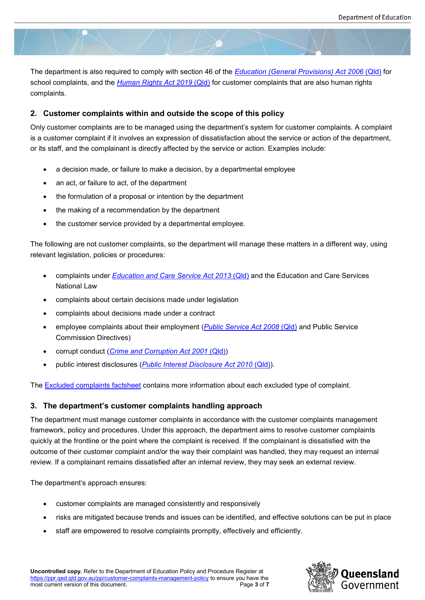The department is also required to comply with section 46 of the *[Education \(General Provisions\) Act 2006](https://www.legislation.qld.gov.au/view/html/inforce/current/act-2006-039)* (Qld) for school complaints, and the *[Human Rights Act 2019](https://www.legislation.qld.gov.au/view/html/inforce/current/act-2019-005)* (Qld) for customer complaints that are also human rights complaints.

#### **2. Customer complaints within and outside the scope of this policy**

Only customer complaints are to be managed using the department's system for customer complaints. A complaint is a customer complaint if it involves an expression of dissatisfaction about the service or action of the department, or its staff, and the complainant is directly affected by the service or action. Examples include:

- a decision made, or failure to make a decision, by a departmental employee
- an act, or failure to act, of the department
- the formulation of a proposal or intention by the department
- the making of a recommendation by the department
- the customer service provided by a departmental employee.

The following are not customer complaints, so the department will manage these matters in a different way, using relevant legislation, policies or procedures:

- complaints under *[Education and Care Service Act 2013](https://www.legislation.qld.gov.au/view/html/inforce/current/act-2013-044)* (Qld) and the Education and Care Services National Law
- complaints about certain decisions made under legislation
- complaints about decisions made under a contract
- employee complaints about their employment (*[Public Service Act 2008](https://www.legislation.qld.gov.au/view/html/inforce/current/act-2008-038)* (Qld) and Public Service Commission Directives)
- corrupt conduct (*[Crime and Corruption Act](https://www.legislation.qld.gov.au/view/html/inforce/current/act-2001-069) 2001* (Qld))
- public interest disclosures (*[Public Interest Disclosure](https://www.legislation.qld.gov.au/view/html/inforce/current/act-2010-038) Act 2010* (Qld)).

The [Excluded complaints factsheet](https://ppr.qed.qld.gov.au/attachment/excluded-complaints-factsheet.pdf) contains more information about each excluded type of complaint.

### **3. The department's customer complaints handling approach**

The department must manage customer complaints in accordance with the customer complaints management framework, policy and procedures. Under this approach, the department aims to resolve customer complaints quickly at the frontline or the point where the complaint is received. If the complainant is dissatisfied with the outcome of their customer complaint and/or the way their complaint was handled, they may request an internal review. If a complainant remains dissatisfied after an internal review, they may seek an external review.

The department's approach ensures:

- customer complaints are managed consistently and responsively
- risks are mitigated because trends and issues can be identified, and effective solutions can be put in place
- staff are empowered to resolve complaints promptly, effectively and efficiently.

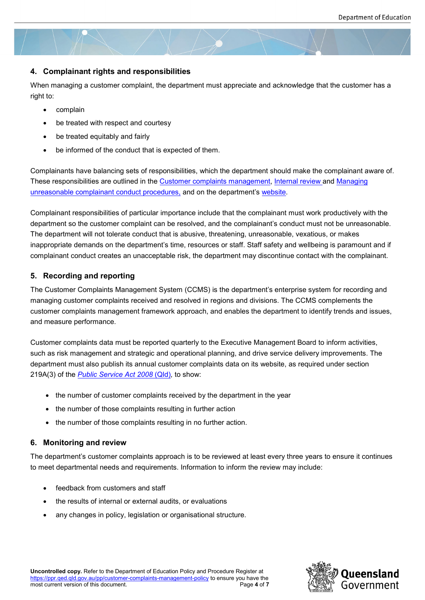### **4. Complainant rights and responsibilities**

When managing a customer complaint, the department must appreciate and acknowledge that the customer has a right to:

- complain
- be treated with respect and courtesy
- be treated equitably and fairly
- be informed of the conduct that is expected of them.

Complainants have balancing sets of responsibilities, which the department should make the complainant aware of. These responsibilities are outlined in the [Customer complaints management,](https://ppr.qed.qld.gov.au/pp/customer-complaints-management-procedure) [Internal review](https://ppr.qed.qld.gov.au/pp/customer-complaints-management-internal-review-procedure) and Managing [unreasonable complainant conduct procedures,](https://ppr.qed.qld.gov.au/pp/customer-complaints-management-managing-unreasonable-complainant-conduct-procedure) and on the department's [website.](https://qed.qld.gov.au/contact/customer-compliments-complaints)

Complainant responsibilities of particular importance include that the complainant must work productively with the department so the customer complaint can be resolved, and the complainant's conduct must not be unreasonable. The department will not tolerate conduct that is abusive, threatening, unreasonable, vexatious, or makes inappropriate demands on the department's time, resources or staff. Staff safety and wellbeing is paramount and if complainant conduct creates an unacceptable risk, the department may discontinue contact with the complainant.

#### **5. Recording and reporting**

The Customer Complaints Management System (CCMS) is the department's enterprise system for recording and managing customer complaints received and resolved in regions and divisions. The CCMS complements the customer complaints management framework approach, and enables the department to identify trends and issues, and measure performance.

Customer complaints data must be reported quarterly to the Executive Management Board to inform activities, such as risk management and strategic and operational planning, and drive service delivery improvements. The department must also publish its annual customer complaints data on its website, as required under section 219A(3) of the *[Public Service Act 2008](https://www.legislation.qld.gov.au/view/html/inforce/current/act-2008-038)* (Qld)*,* to show:

- the number of customer complaints received by the department in the year
- the number of those complaints resulting in further action
- the number of those complaints resulting in no further action.

### **6. Monitoring and review**

The department's customer complaints approach is to be reviewed at least every three years to ensure it continues to meet departmental needs and requirements. Information to inform the review may include:

- feedback from customers and staff
- the results of internal or external audits, or evaluations
- any changes in policy, legislation or organisational structure.

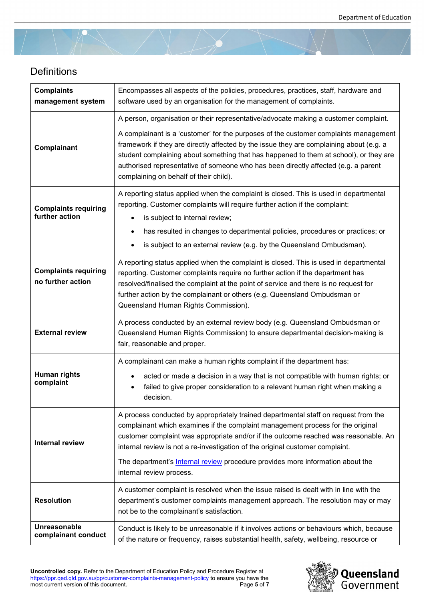

# **Definitions**

| <b>Complaints</b><br>management system           | Encompasses all aspects of the policies, procedures, practices, staff, hardware and<br>software used by an organisation for the management of complaints.                                                                                                                                                                                                                                                                                                                                        |
|--------------------------------------------------|--------------------------------------------------------------------------------------------------------------------------------------------------------------------------------------------------------------------------------------------------------------------------------------------------------------------------------------------------------------------------------------------------------------------------------------------------------------------------------------------------|
| Complainant                                      | A person, organisation or their representative/advocate making a customer complaint.<br>A complainant is a 'customer' for the purposes of the customer complaints management<br>framework if they are directly affected by the issue they are complaining about (e.g. a<br>student complaining about something that has happened to them at school), or they are<br>authorised representative of someone who has been directly affected (e.g. a parent<br>complaining on behalf of their child). |
| <b>Complaints requiring</b><br>further action    | A reporting status applied when the complaint is closed. This is used in departmental<br>reporting. Customer complaints will require further action if the complaint:<br>is subject to internal review;<br>has resulted in changes to departmental policies, procedures or practices; or<br>$\bullet$<br>is subject to an external review (e.g. by the Queensland Ombudsman).                                                                                                                    |
| <b>Complaints requiring</b><br>no further action | A reporting status applied when the complaint is closed. This is used in departmental<br>reporting. Customer complaints require no further action if the department has<br>resolved/finalised the complaint at the point of service and there is no request for<br>further action by the complainant or others (e.g. Queensland Ombudsman or<br>Queensland Human Rights Commission).                                                                                                             |
| <b>External review</b>                           | A process conducted by an external review body (e.g. Queensland Ombudsman or<br>Queensland Human Rights Commission) to ensure departmental decision-making is<br>fair, reasonable and proper.                                                                                                                                                                                                                                                                                                    |
| Human rights<br>complaint                        | A complainant can make a human rights complaint if the department has:<br>acted or made a decision in a way that is not compatible with human rights; or<br>failed to give proper consideration to a relevant human right when making a<br>decision.                                                                                                                                                                                                                                             |
| <b>Internal review</b>                           | A process conducted by appropriately trained departmental staff on request from the<br>complainant which examines if the complaint management process for the original<br>customer complaint was appropriate and/or if the outcome reached was reasonable. An<br>internal review is not a re-investigation of the original customer complaint.<br>The department's <b>Internal review</b> procedure provides more information about the<br>internal review process.                              |
| <b>Resolution</b>                                | A customer complaint is resolved when the issue raised is dealt with in line with the<br>department's customer complaints management approach. The resolution may or may<br>not be to the complainant's satisfaction.                                                                                                                                                                                                                                                                            |
| Unreasonable<br>complainant conduct              | Conduct is likely to be unreasonable if it involves actions or behaviours which, because<br>of the nature or frequency, raises substantial health, safety, wellbeing, resource or                                                                                                                                                                                                                                                                                                                |

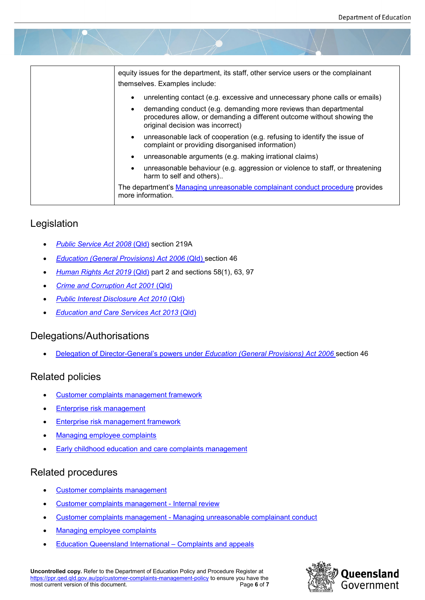| equity issues for the department, its staff, other service users or the complainant<br>themselves. Examples include:                                                                        |
|---------------------------------------------------------------------------------------------------------------------------------------------------------------------------------------------|
| unrelenting contact (e.g. excessive and unnecessary phone calls or emails)<br>$\bullet$                                                                                                     |
| demanding conduct (e.g. demanding more reviews than departmental<br>$\bullet$<br>procedures allow, or demanding a different outcome without showing the<br>original decision was incorrect) |
| unreasonable lack of cooperation (e.g. refusing to identify the issue of<br>$\bullet$<br>complaint or providing disorganised information)                                                   |
| unreasonable arguments (e.g. making irrational claims)<br>$\bullet$                                                                                                                         |
| unreasonable behaviour (e.g. aggression or violence to staff, or threatening<br>$\bullet$<br>harm to self and others)                                                                       |
| The department's Managing unreasonable complainant conduct procedure provides<br>more information.                                                                                          |

# Legislation

- *[Public Service Act 2008](https://www.legislation.qld.gov.au/view/html/inforce/current/act-2008-038)* (Qld) section 219A
- *[Education \(General Provisions\) Act 2006](https://www.legislation.qld.gov.au/view/html/inforce/current/act-2006-039)* (Qld) section 46
- *[Human Rights Act 2019](https://www.legislation.qld.gov.au/view/html/inforce/current/act-2019-005)* (Qld) part 2 and sections 58(1), 63, 97
- *[Crime and Corruption Act 2001](https://www.legislation.qld.gov.au/view/html/inforce/current/act-2001-069)* (Qld)
- *[Public Interest Disclosure Act 2010](https://www.legislation.qld.gov.au/view/html/inforce/current/act-2010-038)* (Qld)
- *[Education and Care Services Act 2013](https://www.legislation.qld.gov.au/view/html/inforce/current/act-2013-044)* (Qld)

### Delegations/Authorisations

• [Delegation of Director-General's powers under](https://ppr.qed.qld.gov.au/delegation/education-general-provisions-act-2006-director-general-delegations.pdf) *Education (General Provisions) Act 2006* section 46

# Related policies

- [Customer complaints management framework](https://ppr.qed.qld.gov.au/attachment/customer-complaints-management-framework.pdf)
- **[Enterprise risk management](https://ppr.qed.qld.gov.au/pp/enterprise-risk-management-policy)**
- [Enterprise risk management framework](https://qed.qld.gov.au/publications/management-and-frameworks/enterprise-risk-management-framework)
- [Managing employee complaints](https://ppr.qed.qld.gov.au/pp/managing-employee-complaints-policy)
- **[Early childhood education and care complaints management](https://ppr.qed.qld.gov.au/pp/early-childhood-education-and-care-complaints-management-policy)**

# Related procedures

- Customer complaints management
- [Customer complaints management -](https://ppr.qed.qld.gov.au/pp/customer-complaints-management-internal-review-procedure) Internal review
- Customer complaints management [Managing unreasonable complainant conduct](https://ppr.qed.qld.gov.au/pp/customer-complaints-management-managing-unreasonable-complainant-conduct-procedure)
- [Managing employee complaints](https://ppr.qed.qld.gov.au/pp/managing-employee-complaints-procedure)
- [Education Queensland International –](https://eqi.com.au/for-students/policies-procedures/complaints-appeals) Complaints and appeals

**Uncontrolled copy.** Refer to the Department of Education Policy and Procedure Register at <https://ppr.qed.qld.gov.au/pp/customer-complaints-management-policy> to ensure you have the most current version of this document.